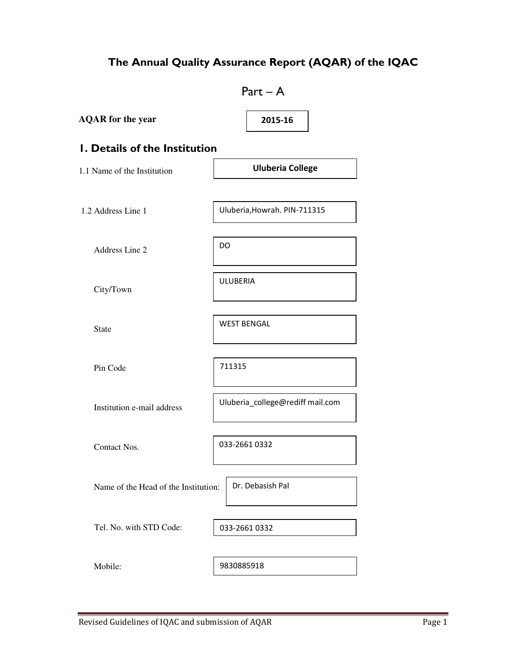# The Annual Quality Assurance Report (AQAR) of the IQAC

| $Part - A$                           |                                  |  |
|--------------------------------------|----------------------------------|--|
| <b>AQAR</b> for the year             | 2015-16                          |  |
| <b>I. Details of the Institution</b> |                                  |  |
| 1.1 Name of the Institution          | <b>Uluberia College</b>          |  |
| 1.2 Address Line 1                   | Uluberia, Howrah. PIN-711315     |  |
| Address Line 2                       | DO                               |  |
| City/Town                            | <b>ULUBERIA</b>                  |  |
| <b>State</b>                         | <b>WEST BENGAL</b>               |  |
| Pin Code                             | 711315                           |  |
| Institution e-mail address           | Uluberia_college@rediff mail.com |  |
| Contact Nos.                         | 033-2661 0332                    |  |
| Name of the Head of the Institution: | Dr. Debasish Pal                 |  |
| Tel. No. with STD Code:              | 033-2661 0332                    |  |
| Mobile:                              | 9830885918                       |  |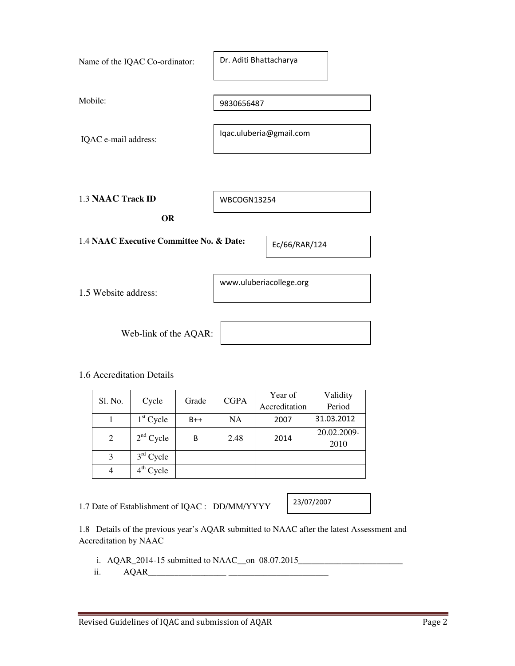| Name of the IQAC Co-ordinator:           | Dr. Aditi Bhattacharya  |               |
|------------------------------------------|-------------------------|---------------|
| Mobile:                                  | 9830656487              |               |
| IQAC e-mail address:                     | Iqac.uluberia@gmail.com |               |
|                                          |                         |               |
| <b>1.3 NAAC Track ID</b>                 | <b>WBCOGN13254</b>      |               |
| <b>OR</b>                                |                         |               |
| 1.4 NAAC Executive Committee No. & Date: |                         | Ec/66/RAR/124 |
| 1.5 Website address:                     | www.uluberiacollege.org |               |
| Web-link of the AQAR:                    |                         |               |

### 1.6 Accreditation Details

| Sl. No. |             | Grade |             | Year of       | Validity    |
|---------|-------------|-------|-------------|---------------|-------------|
|         | Cycle       |       | <b>CGPA</b> | Accreditation | Period      |
|         | $1st$ Cycle | $B++$ | NA          | 2007          | 31.03.2012  |
| 2       | $2nd$ Cycle | B     | 2.48        | 2014          | 20.02.2009- |
|         |             |       |             |               | 2010        |
| 3       | $3rd$ Cycle |       |             |               |             |
|         | $4th$ Cycle |       |             |               |             |

1.7 Date of Establishment of IQAC : DD/MM/YYYY

23/07/2007

1.8 Details of the previous year's AQAR submitted to NAAC after the latest Assessment and Accreditation by NAAC

- i. AQAR\_2014-15 submitted to NAAC\_\_on 08.07.2015\_\_\_\_\_\_\_\_\_\_\_\_\_\_\_\_\_\_\_\_\_\_\_\_\_\_\_\_\_\_\_\_
- ii. AQAR\_\_\_\_\_\_\_\_\_\_\_\_\_\_\_\_\_\_ \_\_\_\_\_\_\_\_\_\_\_\_\_\_\_\_\_\_\_\_\_\_\_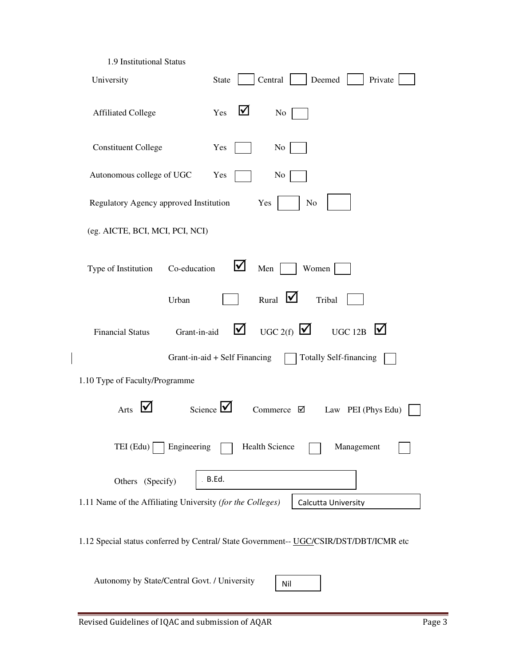| 1.9 Institutional Status                                   |                                                                                        |
|------------------------------------------------------------|----------------------------------------------------------------------------------------|
| University                                                 | Central<br>Deemed<br>Private<br><b>State</b>                                           |
| <b>Affiliated College</b>                                  | ⊻<br>Yes<br>No                                                                         |
| <b>Constituent College</b>                                 | Yes<br>No                                                                              |
| Autonomous college of UGC                                  | Yes<br>No                                                                              |
| Regulatory Agency approved Institution                     | Yes<br>No                                                                              |
| (eg. AICTE, BCI, MCI, PCI, NCI)                            |                                                                                        |
| Co-education<br>Type of Institution                        | <u>IV</u><br>Men<br>Women                                                              |
| Urban                                                      | Rural $\bigtriangledown$<br>Tribal                                                     |
| Grant-in-aid<br><b>Financial Status</b>                    | M<br>UGC 2(f) $\bigvee$<br>⊻<br><b>UGC 12B</b>                                         |
|                                                            | <b>Totally Self-financing</b><br>Grant-in-aid + Self Financing                         |
| 1.10 Type of Faculty/Programme                             |                                                                                        |
| I۷<br>Arts                                                 | Science $\vee$<br>Commerce $\boxtimes$<br>Law PEI (Phys Edu)                           |
| $TEI$ (Edu)<br>Engineering                                 | Health Science<br>Management                                                           |
| Others (Specify)                                           | B.Ed.                                                                                  |
| 1.11 Name of the Affiliating University (for the Colleges) | Calcutta University                                                                    |
|                                                            | 1.12 Special status conferred by Central/ State Government-- UGC/CSIR/DST/DBT/ICMR etc |
| Autonomy by State/Central Govt. / University               | Nil                                                                                    |

 $\begin{array}{c} \rule{0pt}{2ex} \rule{0pt}{2ex} \rule{0pt}{2ex} \rule{0pt}{2ex} \rule{0pt}{2ex} \rule{0pt}{2ex} \rule{0pt}{2ex} \rule{0pt}{2ex} \rule{0pt}{2ex} \rule{0pt}{2ex} \rule{0pt}{2ex} \rule{0pt}{2ex} \rule{0pt}{2ex} \rule{0pt}{2ex} \rule{0pt}{2ex} \rule{0pt}{2ex} \rule{0pt}{2ex} \rule{0pt}{2ex} \rule{0pt}{2ex} \rule{0pt}{2ex} \rule{0pt}{2ex} \rule{0pt}{2ex} \rule{0pt}{2ex} \rule{0pt}{$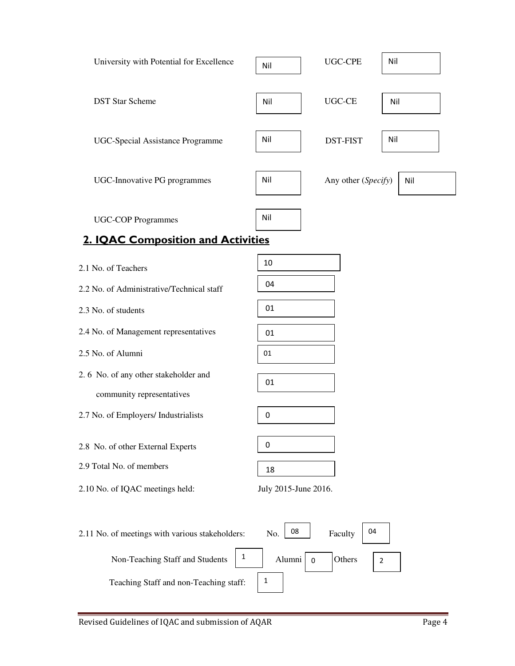| University with Potential for Excellence | Nil | UGC-CPE             | Nil |
|------------------------------------------|-----|---------------------|-----|
| <b>DST Star Scheme</b>                   | Nil | <b>UGC-CE</b>       | Nil |
| UGC-Special Assistance Programme         | Nil | <b>DST-FIST</b>     | Nil |
| UGC-Innovative PG programmes             | Nil | Any other (Specify) | Nil |
| <b>UGC-COP Programmes</b>                | Nil |                     |     |

# 2. IQAC Composition and Activities

| 2.1 No. of Teachers                                  | 10                   |
|------------------------------------------------------|----------------------|
| 2.2 No. of Administrative/Technical staff            | 04                   |
| 2.3 No. of students                                  | 01                   |
| 2.4 No. of Management representatives                | 01                   |
| 2.5 No. of Alumni                                    | 01                   |
| 2.6 No. of any other stakeholder and                 | 01                   |
| community representatives                            |                      |
| 2.7 No. of Employers/ Industrialists                 | $\mathbf 0$          |
| 2.8 No. of other External Experts                    | 0                    |
| 2.9 Total No. of members                             | 18                   |
| 2.10 No. of IQAC meetings held:                      | July 2015-June 2016. |
| 2.11 No. of meetings with various stakeholders:<br>1 | 08<br>No.<br>Faculty |

04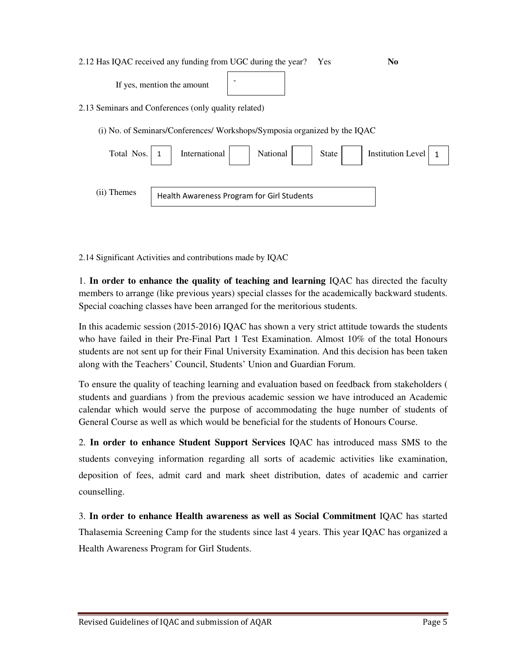2.12 Has IQAC received any funding from UGC during the year? Yes **No** 

| If yes, mention the amount |
|----------------------------|
|----------------------------|

2.13 Seminars and Conferences (only quality related)

(i) No. of Seminars/Conferences/ Workshops/Symposia organized by the IQAC

-

| Total Nos.  | State  <br>National<br>Institution Level<br>International |  |
|-------------|-----------------------------------------------------------|--|
|             |                                                           |  |
| (ii) Themes | Health Awareness Program for Girl Students                |  |

2.14 Significant Activities and contributions made by IQAC

1. **In order to enhance the quality of teaching and learning** IQAC has directed the faculty members to arrange (like previous years) special classes for the academically backward students. Special coaching classes have been arranged for the meritorious students.

In this academic session (2015-2016) IQAC has shown a very strict attitude towards the students who have failed in their Pre-Final Part 1 Test Examination. Almost 10% of the total Honours students are not sent up for their Final University Examination. And this decision has been taken along with the Teachers' Council, Students' Union and Guardian Forum.

To ensure the quality of teaching learning and evaluation based on feedback from stakeholders ( students and guardians ) from the previous academic session we have introduced an Academic calendar which would serve the purpose of accommodating the huge number of students of General Course as well as which would be beneficial for the students of Honours Course.

2. **In order to enhance Student Support Services** IQAC has introduced mass SMS to the students conveying information regarding all sorts of academic activities like examination, deposition of fees, admit card and mark sheet distribution, dates of academic and carrier counselling.

3. **In order to enhance Health awareness as well as Social Commitment** IQAC has started Thalasemia Screening Camp for the students since last 4 years. This year IQAC has organized a Health Awareness Program for Girl Students.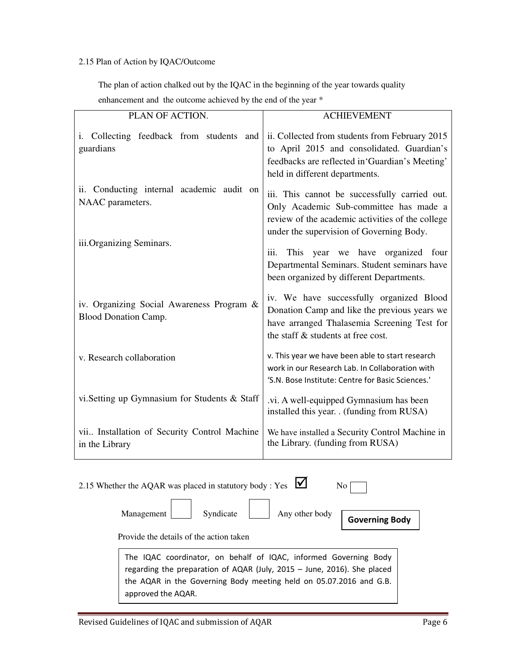# 2.15 Plan of Action by IQAC/Outcome

The plan of action chalked out by the IQAC in the beginning of the year towards quality

enhancement and the outcome achieved by the end of the year \*

| PLAN OF ACTION.                                                          | <b>ACHIEVEMENT</b>                                                                                                                                                                      |
|--------------------------------------------------------------------------|-----------------------------------------------------------------------------------------------------------------------------------------------------------------------------------------|
| i. Collecting feedback from students and<br>guardians                    | ii. Collected from students from February 2015<br>to April 2015 and consolidated. Guardian's<br>feedbacks are reflected in 'Guardian's Meeting'<br>held in different departments.       |
| ii. Conducting internal academic audit on<br>NAAC parameters.            | iii. This cannot be successfully carried out.<br>Only Academic Sub-committee has made a<br>review of the academic activities of the college<br>under the supervision of Governing Body. |
| iii.Organizing Seminars.                                                 | This year we have organized four<br>iii.<br>Departmental Seminars. Student seminars have<br>been organized by different Departments.                                                    |
| iv. Organizing Social Awareness Program &<br><b>Blood Donation Camp.</b> | iv. We have successfully organized Blood<br>Donation Camp and like the previous years we<br>have arranged Thalasemia Screening Test for<br>the staff & students at free cost.           |
| v. Research collaboration                                                | v. This year we have been able to start research<br>work in our Research Lab. In Collaboration with<br>'S.N. Bose Institute: Centre for Basic Sciences.'                                |
| vi. Setting up Gymnasium for Students & Staff                            | .vi. A well-equipped Gymnasium has been<br>installed this year. . (funding from RUSA)                                                                                                   |
| vii Installation of Security Control Machine<br>in the Library           | We have installed a Security Control Machine in<br>the Library. (funding from RUSA)                                                                                                     |

| 2.15 Whether the AQAR was placed in statutory body : Yes $\blacksquare$<br>No.                                                                                                                                                          |  |  |
|-----------------------------------------------------------------------------------------------------------------------------------------------------------------------------------------------------------------------------------------|--|--|
| Syndicate<br>Any other body<br>Management<br>Governing Body                                                                                                                                                                             |  |  |
| Provide the details of the action taken                                                                                                                                                                                                 |  |  |
| The IQAC coordinator, on behalf of IQAC, informed Governing Body<br>regarding the preparation of AQAR (July, 2015 - June, 2016). She placed<br>the AQAR in the Governing Body meeting held on 05.07.2016 and G.B.<br>approved the AQAR. |  |  |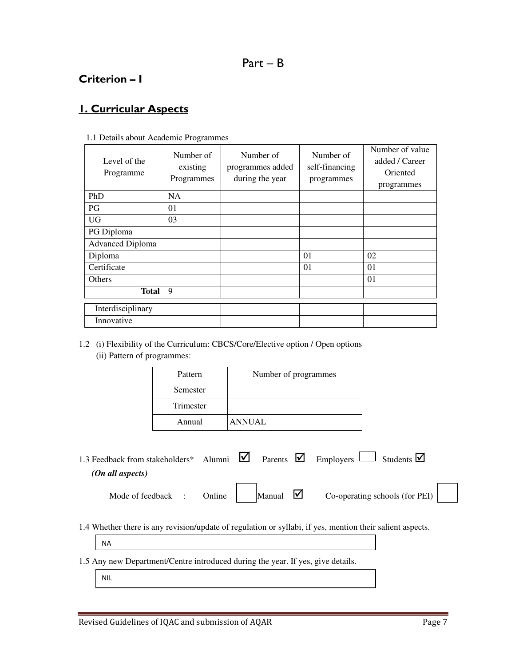# Criterion – I

# 1. Curricular Aspects

| Level of the<br>Programme | Number of<br>existing<br>Programmes | Number of<br>programmes added<br>during the year | Number of<br>self-financing<br>programmes | Number of value<br>added / Career<br>Oriented<br>programmes |
|---------------------------|-------------------------------------|--------------------------------------------------|-------------------------------------------|-------------------------------------------------------------|
| PhD                       | NA.                                 |                                                  |                                           |                                                             |
| PG                        | 01                                  |                                                  |                                           |                                                             |
| <b>UG</b>                 | 03                                  |                                                  |                                           |                                                             |
| PG Diploma                |                                     |                                                  |                                           |                                                             |
| <b>Advanced Diploma</b>   |                                     |                                                  |                                           |                                                             |
| Diploma                   |                                     |                                                  | 01                                        | 02                                                          |
| Certificate               |                                     |                                                  | 01                                        | 01                                                          |
| Others                    |                                     |                                                  |                                           | 01                                                          |
| <b>Total</b>              | 9                                   |                                                  |                                           |                                                             |
| Interdisciplinary         |                                     |                                                  |                                           |                                                             |
| Innovative                |                                     |                                                  |                                           |                                                             |

1.1 Details about Academic Programmes

1.2 (i) Flexibility of the Curriculum: CBCS/Core/Elective option / Open options (ii) Pattern of programmes:

| Pattern   | Number of programmes |
|-----------|----------------------|
| Semester  |                      |
| Trimester |                      |
| Annual    | <b>ANNUAL</b>        |

| 1.3 Feedback from stakeholders* Alumni $\vec{\mathbf{z}}$ Parents $\vec{\mathbf{z}}$ Employers $\vec{\mathbf{z}}$ Students $\vec{\mathbf{z}}$ |  |  |  |
|-----------------------------------------------------------------------------------------------------------------------------------------------|--|--|--|
| (On all aspects)                                                                                                                              |  |  |  |
|                                                                                                                                               |  |  |  |

| w. |  |
|----|--|
|    |  |

Mode of feedback : Online Manual  $\Box$  Co-operating schools (for PEI)

1.4 Whether there is any revision/update of regulation or syllabi, if yes, mention their salient aspects.

NA

- 1.5 Any new Department/Centre introduced during the year. If yes, give details.
	- NIL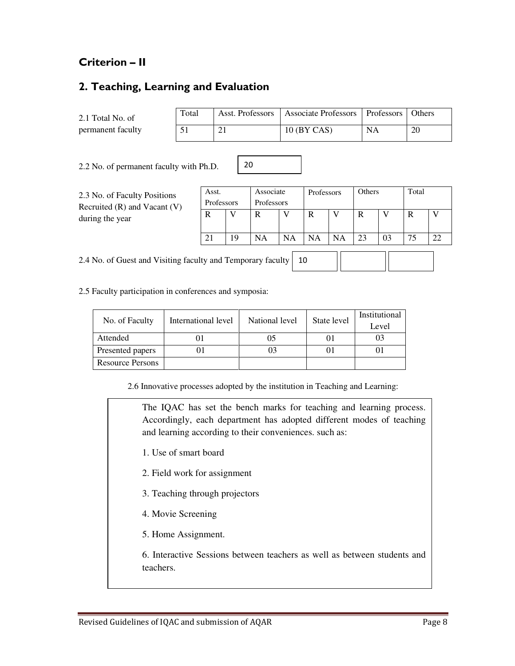# Criterion – II

# 2. Teaching, Learning and Evaluation

2.1 Total No. of permanent faculty

| Total | Asst. Professors   Associate Professors   Professors   Others |    |    |
|-------|---------------------------------------------------------------|----|----|
|       | $10$ (BY CAS)                                                 | NA | 20 |

2.2 No. of permanent faculty with Ph.D.

2.3 No. of Faculty Positions Recruited (R) and Vacant (V) during the year

| Asst.<br>Professors |    | Associate<br>Professors |    | Professors |    | Others |    | Total |    |
|---------------------|----|-------------------------|----|------------|----|--------|----|-------|----|
| R                   |    | R                       |    | R          |    | R      |    | R     |    |
|                     | 19 | NA                      | NA | NA         | NA | 23     | 03 | 75    | 22 |
|                     |    |                         |    |            |    |        |    |       |    |

2.4 No. of Guest and Visiting faculty and Temporary faculty 10

2.5 Faculty participation in conferences and symposia:

| No. of Faculty          | International level | National level | State level | Institutional |
|-------------------------|---------------------|----------------|-------------|---------------|
|                         |                     |                |             | Level         |
| Attended                |                     | 05             |             |               |
| Presented papers        |                     |                |             |               |
| <b>Resource Persons</b> |                     |                |             |               |

20

2.6 Innovative processes adopted by the institution in Teaching and Learning:

The IQAC has set the bench marks for teaching and learning process. Accordingly, each department has adopted different modes of teaching and learning according to their conveniences. such as:

- 1. Use of smart board
- 2. Field work for assignment
- 3. Teaching through projectors
- 4. Movie Screening
- 5. Home Assignment.

6. Interactive Sessions between teachers as well as between students and teachers.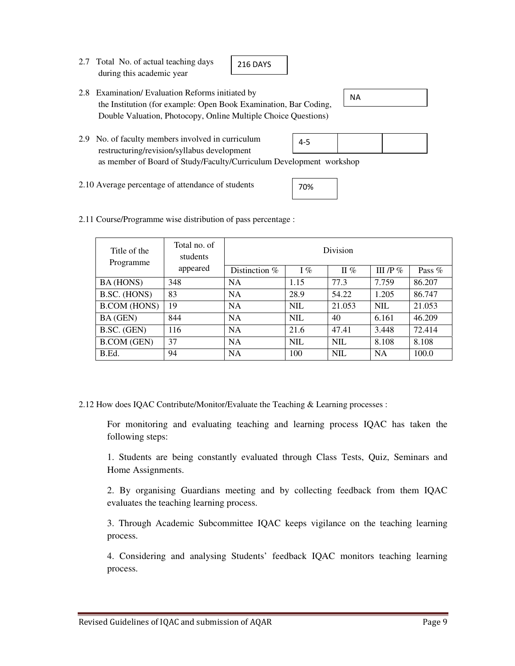2.7 Total No. of actual teaching days during this academic year

216 DAYS

- 2.8 Examination/ Evaluation Reforms initiated by the Institution (for example: Open Book Examination, Bar Coding, Double Valuation, Photocopy, Online Multiple Choice Questions)
	- 4-5

NA

- 2.9 No. of faculty members involved in curriculum restructuring/revision/syllabus development as member of Board of Study/Faculty/Curriculum Development workshop
- 2.10 Average percentage of attendance of students
- 70%
- 2.11 Course/Programme wise distribution of pass percentage :

| Title of the<br>Programme | Total no. of<br>students |                 |            | Division   |             |          |
|---------------------------|--------------------------|-----------------|------------|------------|-------------|----------|
|                           | appeared                 | Distinction $%$ | $I\%$      | II $%$     | III /P $\%$ | Pass $%$ |
| BA (HONS)                 | 348                      | <b>NA</b>       | 1.15       | 77.3       | 7.759       | 86.207   |
| B.SC. (HONS)              | 83                       | <b>NA</b>       | 28.9       | 54.22      | 1.205       | 86.747   |
| <b>B.COM (HONS)</b>       | 19                       | <b>NA</b>       | <b>NIL</b> | 21.053     | <b>NIL</b>  | 21.053   |
| <b>BA</b> (GEN)           | 844                      | <b>NA</b>       | NIL.       | 40         | 6.161       | 46.209   |
| B.SC. (GEN)               | 116                      | <b>NA</b>       | 21.6       | 47.41      | 3.448       | 72.414   |
| <b>B.COM</b> (GEN)        | 37                       | <b>NA</b>       | <b>NIL</b> | <b>NIL</b> | 8.108       | 8.108    |
| B.Ed.                     | 94                       | <b>NA</b>       | 100        | <b>NIL</b> | <b>NA</b>   | 100.0    |

2.12 How does IQAC Contribute/Monitor/Evaluate the Teaching & Learning processes :

 For monitoring and evaluating teaching and learning process IQAC has taken the following steps:

 1. Students are being constantly evaluated through Class Tests, Quiz, Seminars and Home Assignments.

 2. By organising Guardians meeting and by collecting feedback from them IQAC evaluates the teaching learning process.

 3. Through Academic Subcommittee IQAC keeps vigilance on the teaching learning process.

 4. Considering and analysing Students' feedback IQAC monitors teaching learning process.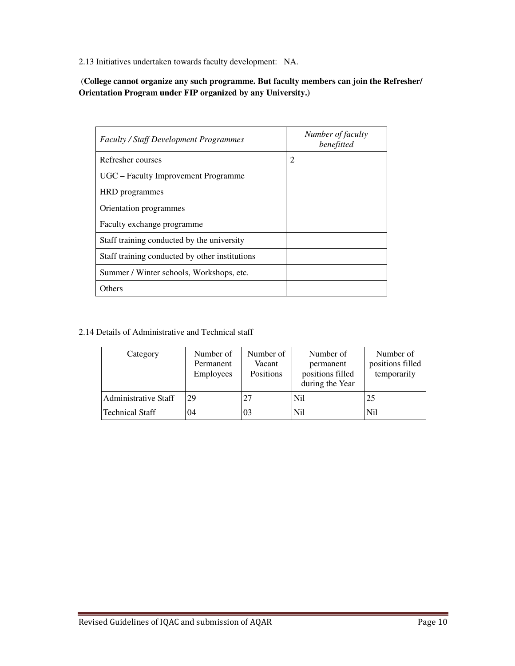2.13 Initiatives undertaken towards faculty development: NA.

 (**College cannot organize any such programme. But faculty members can join the Refresher/ Orientation Program under FIP organized by any University.)** 

| <b>Faculty / Staff Development Programmes</b>  | Number of faculty<br>benefitted |
|------------------------------------------------|---------------------------------|
| Refresher courses                              | 2                               |
| UGC – Faculty Improvement Programme            |                                 |
| HRD programmes                                 |                                 |
| Orientation programmes                         |                                 |
| Faculty exchange programme                     |                                 |
| Staff training conducted by the university     |                                 |
| Staff training conducted by other institutions |                                 |
| Summer / Winter schools, Workshops, etc.       |                                 |
| Others                                         |                                 |

#### 2.14 Details of Administrative and Technical staff

| Category                    | Number of<br>Permanent<br><b>Employees</b> | Number of<br>Vacant<br>Positions | Number of<br>permanent<br>positions filled<br>during the Year | Number of<br>positions filled<br>temporarily |
|-----------------------------|--------------------------------------------|----------------------------------|---------------------------------------------------------------|----------------------------------------------|
| <b>Administrative Staff</b> | 29                                         | 27                               | Nil                                                           | 25                                           |
| <b>Technical Staff</b>      | 04                                         | 03                               | Nil                                                           | Nil                                          |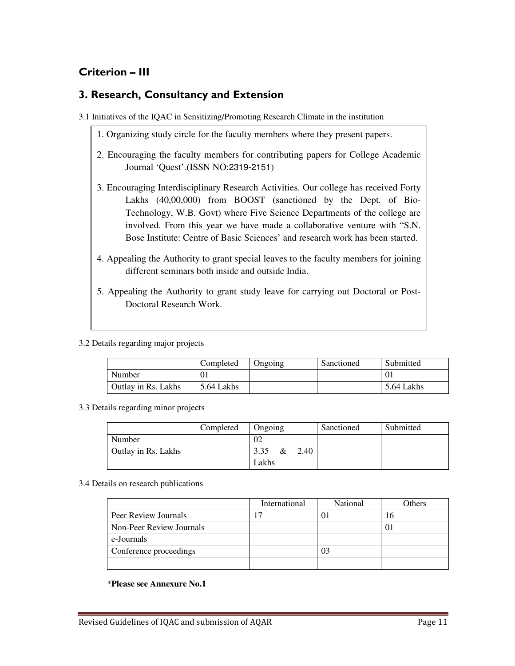# Criterion – III

# 3. Research, Consultancy and Extension

3.1 Initiatives of the IQAC in Sensitizing/Promoting Research Climate in the institution

- 1. Organizing study circle for the faculty members where they present papers.
- 2. Encouraging the faculty members for contributing papers for College Academic Journal 'Quest'.(ISSN NO:2319-2151)
- 3. Encouraging Interdisciplinary Research Activities. Our college has received Forty Lakhs (40,00,000) from BOOST (sanctioned by the Dept. of Bio-Technology, W.B. Govt) where Five Science Departments of the college are involved. From this year we have made a collaborative venture with "S.N. Bose Institute: Centre of Basic Sciences' and research work has been started.
- 4. Appealing the Authority to grant special leaves to the faculty members for joining different seminars both inside and outside India.
- 5. Appealing the Authority to grant study leave for carrying out Doctoral or Post-Doctoral Research Work.

3.2 Details regarding major projects

|                            | Completed  | Ongoing | Sanctioned | Submitted  |
|----------------------------|------------|---------|------------|------------|
| Number                     | $\theta_1$ |         |            |            |
| <b>Outlay in Rs. Lakhs</b> | 5.64 Lakhs |         |            | 5.64 Lakhs |

3.3 Details regarding minor projects

|                     | Completed | Ongoing              | Sanctioned | Submitted |
|---------------------|-----------|----------------------|------------|-----------|
| Number              |           | 02                   |            |           |
| Outlay in Rs. Lakhs |           | 3.35<br>$\&$<br>2.40 |            |           |
|                     |           | Lakhs                |            |           |

3.4 Details on research publications

|                          | International | National | Others |
|--------------------------|---------------|----------|--------|
| Peer Review Journals     |               |          | ιo     |
| Non-Peer Review Journals |               |          |        |
| e-Journals               |               |          |        |
| Conference proceedings   |               |          |        |
|                          |               |          |        |

\***Please see Annexure No.1**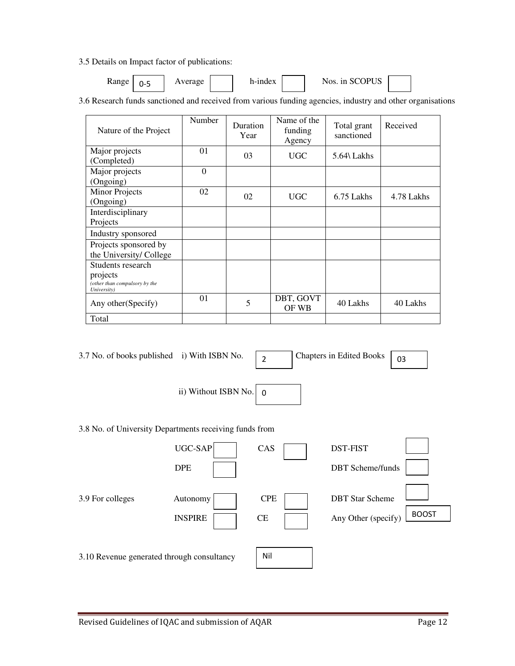3.5 Details on Impact factor of publications:

| <b>Range</b> | . .<br>- | verage | -ındex | <b>COPUS</b><br>1n<br>NOS.<br>NO.<br>UJ. |  |
|--------------|----------|--------|--------|------------------------------------------|--|
|--------------|----------|--------|--------|------------------------------------------|--|

3.6 Research funds sanctioned and received from various funding agencies, industry and other organisations

| Nature of the Project                                                         | Number   | Duration<br>Year | Name of the<br>funding<br>Agency | Total grant<br>sanctioned | Received   |
|-------------------------------------------------------------------------------|----------|------------------|----------------------------------|---------------------------|------------|
| Major projects<br>(Completed)                                                 | 01       | 03               | UGC                              | 5.64\ Lakhs               |            |
| Major projects<br>(Ongoing)                                                   | $\Omega$ |                  |                                  |                           |            |
| Minor Projects<br>(Ongoing)                                                   | 02       | 02               | <b>UGC</b>                       | 6.75 Lakhs                | 4.78 Lakhs |
| Interdisciplinary<br>Projects                                                 |          |                  |                                  |                           |            |
| Industry sponsored                                                            |          |                  |                                  |                           |            |
| Projects sponsored by<br>the University/College                               |          |                  |                                  |                           |            |
| Students research<br>projects<br>(other than compulsory by the<br>University) |          |                  |                                  |                           |            |
| Any other (Specify)                                                           | 01       | 5                | DBT, GOVT<br>OF WB               | 40 Lakhs                  | 40 Lakhs   |
| Total                                                                         |          |                  |                                  |                           |            |

| 3.7 No. of books published i) With ISBN No.            |                            | $\overline{2}$          | <b>Chapters in Edited Books</b>               | 03           |
|--------------------------------------------------------|----------------------------|-------------------------|-----------------------------------------------|--------------|
|                                                        | ii) Without ISBN No.       | $\Omega$                |                                               |              |
| 3.8 No. of University Departments receiving funds from |                            |                         |                                               |              |
|                                                        | UGC-SAP<br><b>DPE</b>      | CAS                     | <b>DST-FIST</b><br><b>DBT</b> Scheme/funds    |              |
| 3.9 For colleges                                       | Autonomy<br><b>INSPIRE</b> | <b>CPE</b><br><b>CE</b> | <b>DBT Star Scheme</b><br>Any Other (specify) | <b>BOOST</b> |
| 3.10 Revenue generated through consultancy             |                            | Nil                     |                                               |              |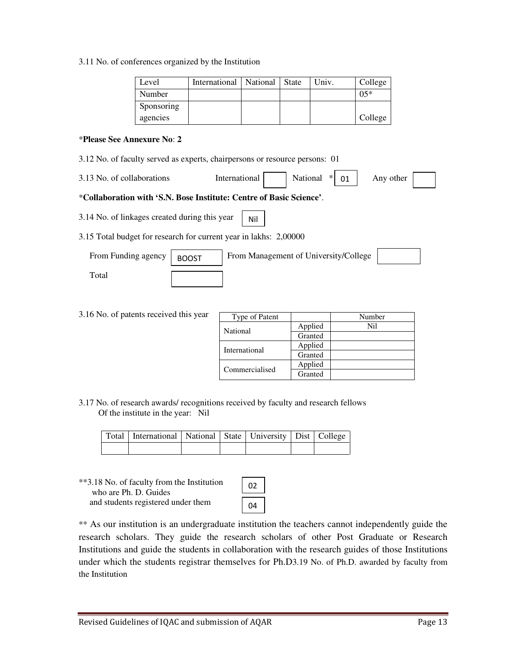3.11 No. of conferences organized by the Institution

| Level      | International   National | State | Univ. | College |
|------------|--------------------------|-------|-------|---------|
| Number     |                          |       |       | $0.5*$  |
| Sponsoring |                          |       |       |         |
| agencies   |                          |       |       | College |

#### \***Please See Annexure No**: **2**

- 3.12 No. of faculty served as experts, chairpersons or resource persons: 01
- 3.13 No. of collaborations International National \*  $\vert$  01 Any other 01

#### \***Collaboration with 'S.N. Bose Institute: Centre of Basic Science'**.

- 3.14 No. of linkages created during this year Nil
- 3.15 Total budget for research for current year in lakhs: 2,00000

| From Funding agency | <b>BOOST</b> | From Management of University/College |  |
|---------------------|--------------|---------------------------------------|--|
| Total               |              |                                       |  |

3.16 No. of patents received this year

| Type of Patent |         | Number |
|----------------|---------|--------|
| National       | Applied | Ni1    |
|                | Granted |        |
| International  | Applied |        |
|                | Granted |        |
|                | Applied |        |
| Commercialised | Granted |        |

3.17 No. of research awards/ recognitions received by faculty and research fellows Of the institute in the year: Nil

|  | Total   International   National   State   University   Dist   College |  |  |  |
|--|------------------------------------------------------------------------|--|--|--|
|  |                                                                        |  |  |  |

\*\*3.18 No. of faculty from the Institution who are Ph. D. Guides and students registered under them

| 02 |  |
|----|--|
| 04 |  |

\*\* As our institution is an undergraduate institution the teachers cannot independently guide the research scholars. They guide the research scholars of other Post Graduate or Research Institutions and guide the students in collaboration with the research guides of those Institutions under which the students registrar themselves for Ph.D3.19 No. of Ph.D. awarded by faculty from the Institution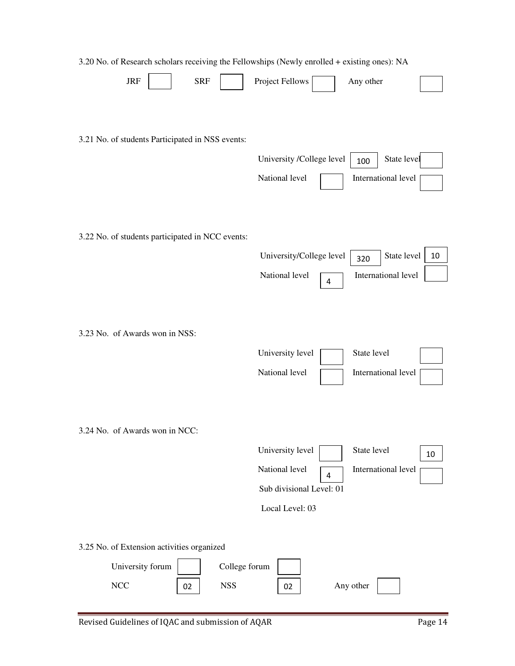| 3.20 No. of Research scholars receiving the Fellowships (Newly enrolled + existing ones): NA |                                                                                          |
|----------------------------------------------------------------------------------------------|------------------------------------------------------------------------------------------|
| <b>JRF</b><br><b>SRF</b>                                                                     | Project Fellows<br>Any other                                                             |
| 3.21 No. of students Participated in NSS events:                                             | State level<br>University /College level<br>100<br>National level<br>International level |
| 3.22 No. of students participated in NCC events:                                             |                                                                                          |
|                                                                                              | State level<br>University/College level<br>10<br>320                                     |
|                                                                                              | National level<br>International level<br>4                                               |
| 3.23 No. of Awards won in NSS:                                                               | State level<br>University level<br>National level<br>International level                 |
| 3.24 No. of Awards won in NCC:                                                               |                                                                                          |
|                                                                                              | University level<br>State level<br>10                                                    |
|                                                                                              | National level<br>International level<br>4                                               |
|                                                                                              | Sub divisional Level: 01                                                                 |
|                                                                                              | Local Level: 03                                                                          |
| 3.25 No. of Extension activities organized                                                   |                                                                                          |
| University forum<br>College forum                                                            |                                                                                          |
| $\rm NCC$<br><b>NSS</b><br>02                                                                | Any other<br>02                                                                          |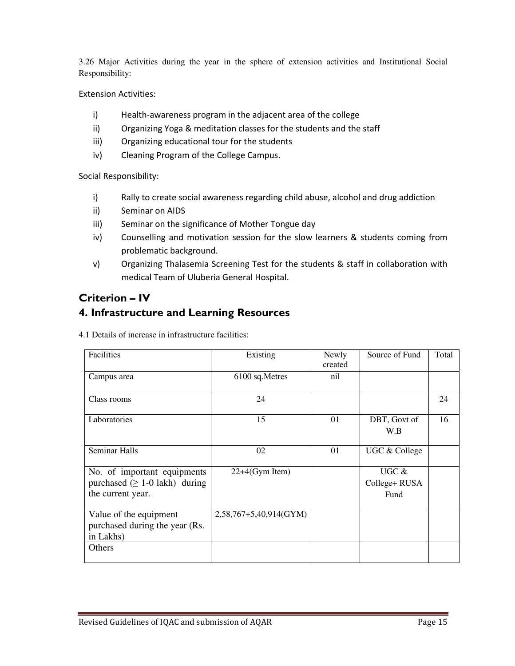3.26 Major Activities during the year in the sphere of extension activities and Institutional Social Responsibility:

Extension Activities:

- i) Health-awareness program in the adjacent area of the college
- ii) Organizing Yoga & meditation classes for the students and the staff
- iii) Organizing educational tour for the students
- iv) Cleaning Program of the College Campus.

Social Responsibility:

- i) Rally to create social awareness regarding child abuse, alcohol and drug addiction
- ii) Seminar on AIDS
- iii) Seminar on the significance of Mother Tongue day
- iv) Counselling and motivation session for the slow learners & students coming from problematic background.
- v) Organizing Thalasemia Screening Test for the students & staff in collaboration with medical Team of Uluberia General Hospital.

# Criterion – IV

# 4. Infrastructure and Learning Resources

4.1 Details of increase in infrastructure facilities:

| Facilities                                                                               | Existing                 | Newly<br>created | Source of Fund                  | Total |
|------------------------------------------------------------------------------------------|--------------------------|------------------|---------------------------------|-------|
| Campus area                                                                              | 6100 sq.Metres           | nil              |                                 |       |
| Class rooms                                                                              | 24                       |                  |                                 | 24    |
| Laboratories                                                                             | 15                       | 01               | DBT, Govt of<br>W.B             | 16    |
| <b>Seminar Halls</b>                                                                     | 02                       | 01               | UGC & College                   |       |
| No. of important equipments<br>purchased $( \geq 1$ -0 lakh) during<br>the current year. | $22+4$ (Gym Item)        |                  | UGC $&$<br>College+RUSA<br>Fund |       |
| Value of the equipment<br>purchased during the year (Rs.<br>in Lakhs)                    | $2,58,767+5,40,914(GYM)$ |                  |                                 |       |
| Others                                                                                   |                          |                  |                                 |       |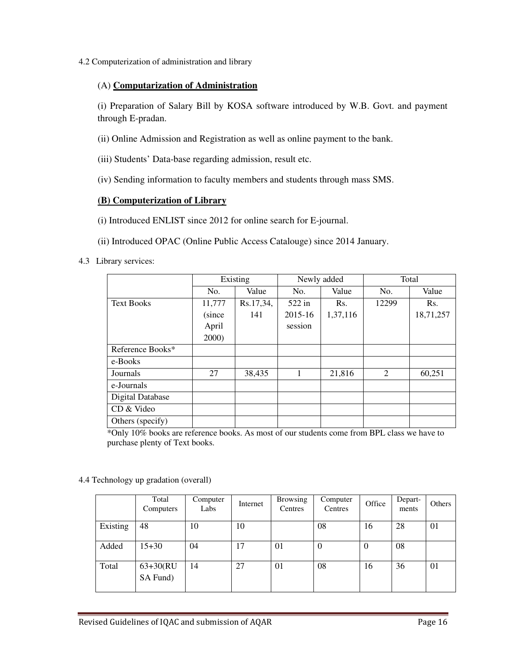4.2 Computerization of administration and library

### (A) **Computarization of Administration**

(i) Preparation of Salary Bill by KOSA software introduced by W.B. Govt. and payment through E-pradan.

(ii) Online Admission and Registration as well as online payment to the bank.

(iii) Students' Data-base regarding admission, result etc.

(iv) Sending information to faculty members and students through mass SMS.

### **(B) Computerization of Library**

(i) Introduced ENLIST since 2012 for online search for E-journal.

(ii) Introduced OPAC (Online Public Access Catalouge) since 2014 January.

4.3 Library services:

|                         | Existing |           |         | Newly added | Total |           |  |
|-------------------------|----------|-----------|---------|-------------|-------|-----------|--|
|                         | No.      | Value     | No.     | Value       | No.   | Value     |  |
| <b>Text Books</b>       | 11,777   | Rs.17,34, | 522 in  | Rs.         | 12299 | Rs.       |  |
|                         | (since   | 141       | 2015-16 | 1,37,116    |       | 18,71,257 |  |
|                         | April    |           | session |             |       |           |  |
|                         | 2000)    |           |         |             |       |           |  |
| Reference Books*        |          |           |         |             |       |           |  |
| e-Books                 |          |           |         |             |       |           |  |
| Journals                | 27       | 38,435    | 1       | 21,816      | 2     | 60,251    |  |
| e-Journals              |          |           |         |             |       |           |  |
| <b>Digital Database</b> |          |           |         |             |       |           |  |
| CD & Video              |          |           |         |             |       |           |  |
| Others (specify)        |          |           |         |             |       |           |  |

\*Only 10% books are reference books. As most of our students come from BPL class we have to purchase plenty of Text books.

4.4 Technology up gradation (overall)

|          | Total<br>Computers      | Computer<br>Labs | Internet | <b>Browsing</b><br>Centres | Computer<br>Centres | Office   | Depart-<br>ments | Others |
|----------|-------------------------|------------------|----------|----------------------------|---------------------|----------|------------------|--------|
| Existing | 48                      | 10               | 10       |                            | 08                  | 16       | 28               | 01     |
| Added    | $15 + 30$               | 04               | 17       | 01                         | $\theta$            | $\theta$ | 08               |        |
| Total    | $63+30(RU)$<br>SA Fund) | 14               | 27       | 01                         | 08                  | 16       | 36               | 01     |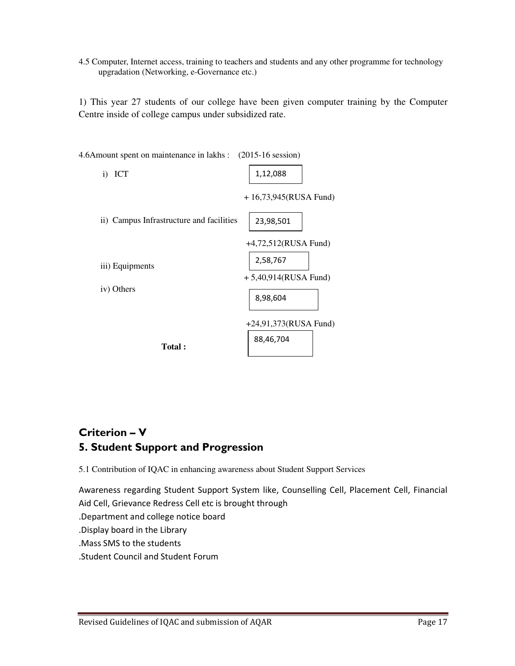4.5 Computer, Internet access, training to teachers and students and any other programme for technology upgradation (Networking, e-Governance etc.)

1) This year 27 students of our college have been given computer training by the Computer Centre inside of college campus under subsidized rate.



# Criterion – V 5. Student Support and Progression

5.1 Contribution of IQAC in enhancing awareness about Student Support Services

Awareness regarding Student Support System like, Counselling Cell, Placement Cell, Financial Aid Cell, Grievance Redress Cell etc is brought through .Department and college notice board .Display board in the Library .Mass SMS to the students .Student Council and Student Forum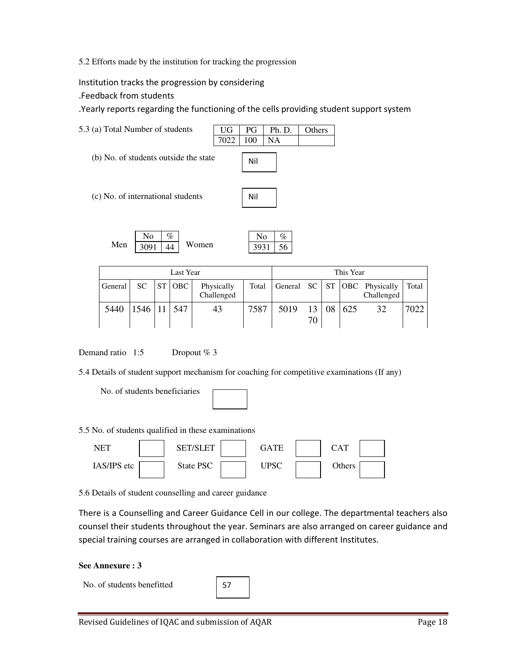5.2 Efforts made by the institution for tracking the progression

Institution tracks the progression by considering

.Feedback from students

.Yearly reports regarding the functioning of the cells providing student support system



| Last Year |         |    |     |                          |      |      | This Year   |     |                                                    |       |
|-----------|---------|----|-----|--------------------------|------|------|-------------|-----|----------------------------------------------------|-------|
| General   | SC      | ST | OBC | Physically<br>Challenged |      |      |             |     | Total General SC ST   OBC Physically<br>Challenged | Total |
| 5440      | 1546 11 |    | 547 | 43                       | 7587 | 5019 | 13 08<br>70 | 625 | 32                                                 | 7022  |

Demand ratio 1:5 Dropout % 3

5.4 Details of student support mechanism for coaching for competitive examinations (If any)

No. of students beneficiaries

5.5 No. of students qualified in these examinations



5.6 Details of student counselling and career guidance

There is a Counselling and Career Guidance Cell in our college. The departmental teachers also counsel their students throughout the year. Seminars are also arranged on career guidance and special training courses are arranged in collaboration with different Institutes.

#### **See Annexure : 3**

No. of students benefitted

57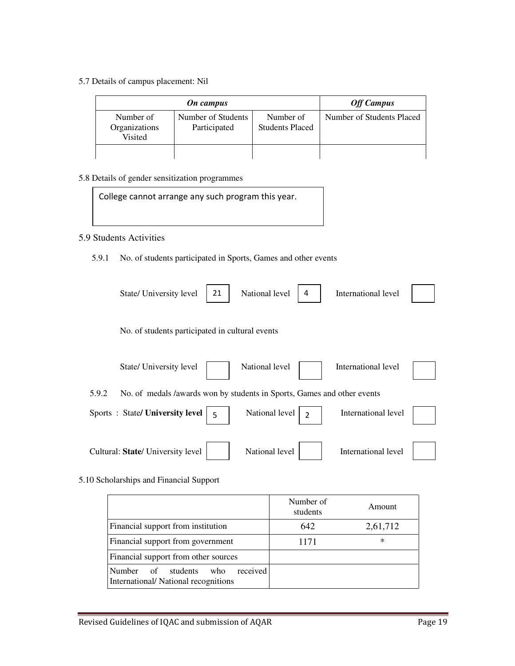5.7 Details of campus placement: Nil

| On campus                             |                                    |                                     | <b>Off Campus</b>         |
|---------------------------------------|------------------------------------|-------------------------------------|---------------------------|
| Number of<br>Organizations<br>Visited | Number of Students<br>Participated | Number of<br><b>Students Placed</b> | Number of Students Placed |
|                                       |                                    |                                     |                           |

#### 5.8 Details of gender sensitization programmes

College cannot arrange any such program this year.

### 5.9 Students Activities

5.9.1 No. of students participated in Sports, Games and other events

|       | State/ University level                                                 | 21 | National level | 4             | International level |  |
|-------|-------------------------------------------------------------------------|----|----------------|---------------|---------------------|--|
|       | No. of students participated in cultural events                         |    |                |               |                     |  |
|       | State/ University level                                                 |    | National level |               | International level |  |
| 5.9.2 | No. of medals /awards won by students in Sports, Games and other events |    |                |               |                     |  |
|       | Sports: State/ University level                                         | 5  | National level | $\mathcal{P}$ | International level |  |
|       | Cultural: State/ University level                                       |    | National level |               | International level |  |

#### 5.10 Scholarships and Financial Support

|                                                                                           | Number of<br>students | Amount   |
|-------------------------------------------------------------------------------------------|-----------------------|----------|
| Financial support from institution                                                        | 642                   | 2,61,712 |
| Financial support from government                                                         | 1171                  | *        |
| Financial support from other sources                                                      |                       |          |
| <b>Number</b><br>received<br>students<br>of<br>who<br>International/National recognitions |                       |          |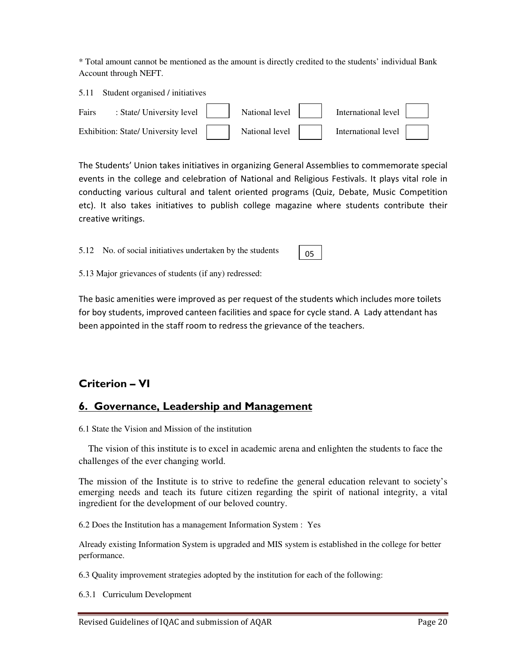\* Total amount cannot be mentioned as the amount is directly credited to the students' individual Bank Account through NEFT.

|       | 5.11 Student organised / initiatives                   |                              |                     |  |
|-------|--------------------------------------------------------|------------------------------|---------------------|--|
| Fairs | : State/ University level $\vert$                      | $\mid$ National level $\mid$ | International level |  |
|       | Exhibition: State/ University level     National level |                              | International level |  |

The Students' Union takes initiatives in organizing General Assemblies to commemorate special events in the college and celebration of National and Religious Festivals. It plays vital role in conducting various cultural and talent oriented programs (Quiz, Debate, Music Competition etc). It also takes initiatives to publish college magazine where students contribute their creative writings.

05

5.12 No. of social initiatives undertaken by the students

5.13 Major grievances of students (if any) redressed:

The basic amenities were improved as per request of the students which includes more toilets for boy students, improved canteen facilities and space for cycle stand. A Lady attendant has been appointed in the staff room to redress the grievance of the teachers.

# Criterion – VI

# 6. Governance, Leadership and Management

6.1 State the Vision and Mission of the institution

 The vision of this institute is to excel in academic arena and enlighten the students to face the challenges of the ever changing world.

The mission of the Institute is to strive to redefine the general education relevant to society's emerging needs and teach its future citizen regarding the spirit of national integrity, a vital ingredient for the development of our beloved country.

6.2 Does the Institution has a management Information System : Yes

Already existing Information System is upgraded and MIS system is established in the college for better performance.

6.3 Quality improvement strategies adopted by the institution for each of the following:

6.3.1 Curriculum Development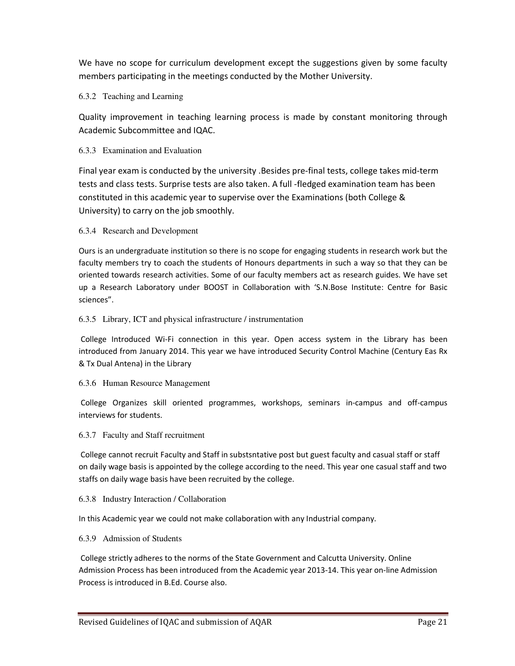We have no scope for curriculum development except the suggestions given by some faculty members participating in the meetings conducted by the Mother University.

#### 6.3.2 Teaching and Learning

Quality improvement in teaching learning process is made by constant monitoring through Academic Subcommittee and IQAC.

#### 6.3.3 Examination and Evaluation

Final year exam is conducted by the university .Besides pre-final tests, college takes mid-term tests and class tests. Surprise tests are also taken. A full -fledged examination team has been constituted in this academic year to supervise over the Examinations (both College & University) to carry on the job smoothly.

#### 6.3.4 Research and Development

Ours is an undergraduate institution so there is no scope for engaging students in research work but the faculty members try to coach the students of Honours departments in such a way so that they can be oriented towards research activities. Some of our faculty members act as research guides. We have set up a Research Laboratory under BOOST in Collaboration with 'S.N.Bose Institute: Centre for Basic sciences".

#### 6.3.5 Library, ICT and physical infrastructure / instrumentation

 College Introduced Wi-Fi connection in this year. Open access system in the Library has been introduced from January 2014. This year we have introduced Security Control Machine (Century Eas Rx & Tx Dual Antena) in the Library

#### 6.3.6 Human Resource Management

 College Organizes skill oriented programmes, workshops, seminars in-campus and off-campus interviews for students.

#### 6.3.7 Faculty and Staff recruitment

 College cannot recruit Faculty and Staff in substsntative post but guest faculty and casual staff or staff on daily wage basis is appointed by the college according to the need. This year one casual staff and two staffs on daily wage basis have been recruited by the college.

#### 6.3.8 Industry Interaction / Collaboration

In this Academic year we could not make collaboration with any Industrial company.

#### 6.3.9 Admission of Students

 College strictly adheres to the norms of the State Government and Calcutta University. Online Admission Process has been introduced from the Academic year 2013-14. This year on-line Admission Process is introduced in B.Ed. Course also.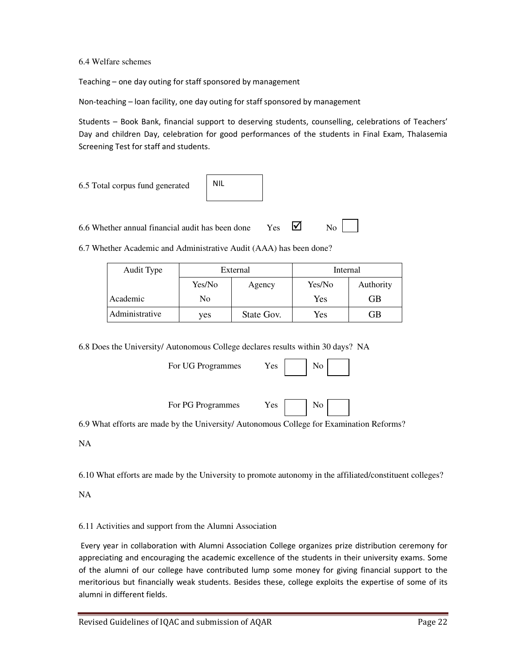6.4 Welfare schemes

Teaching – one day outing for staff sponsored by management

Non-teaching – loan facility, one day outing for staff sponsored by management

Students – Book Bank, financial support to deserving students, counselling, celebrations of Teachers' Day and children Day, celebration for good performances of the students in Final Exam, Thalasemia Screening Test for staff and students.

| 6.5 Total corpus fund generated                  | <b>NIL</b> |     |    |
|--------------------------------------------------|------------|-----|----|
| 6.6 Whether annual financial audit has been done |            | Yes | No |

6.7 Whether Academic and Administrative Audit (AAA) has been done?

| Audit Type     | External |            |        |           | Internal |  |
|----------------|----------|------------|--------|-----------|----------|--|
|                | Yes/No   | Agency     | Yes/No | Authority |          |  |
| Academic       | No       |            | Yes    | GВ        |          |  |
| Administrative | yes      | State Gov. | Yes    | GB        |          |  |

6.8 Does the University/ Autonomous College declares results within 30 days? NA

For UG Programmes Yes

|--|--|

For PG Programmes Yes No

6.9 What efforts are made by the University/ Autonomous College for Examination Reforms?

NA

6.10 What efforts are made by the University to promote autonomy in the affiliated/constituent colleges?

NA

6.11 Activities and support from the Alumni Association

 Every year in collaboration with Alumni Association College organizes prize distribution ceremony for appreciating and encouraging the academic excellence of the students in their university exams. Some of the alumni of our college have contributed lump some money for giving financial support to the meritorious but financially weak students. Besides these, college exploits the expertise of some of its alumni in different fields.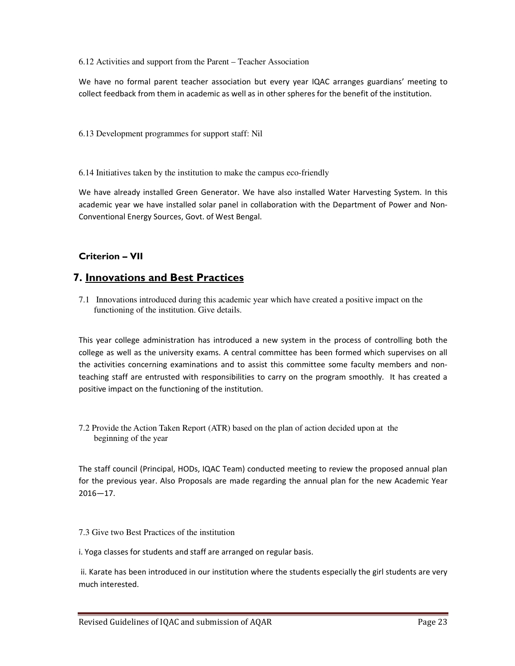#### 6.12 Activities and support from the Parent – Teacher Association

We have no formal parent teacher association but every year IQAC arranges guardians' meeting to collect feedback from them in academic as well as in other spheres for the benefit of the institution.

6.13 Development programmes for support staff: Nil

6.14 Initiatives taken by the institution to make the campus eco-friendly

We have already installed Green Generator. We have also installed Water Harvesting System. In this academic year we have installed solar panel in collaboration with the Department of Power and Non-Conventional Energy Sources, Govt. of West Bengal.

### Criterion – VII

# 7. Innovations and Best Practices

7.1 Innovations introduced during this academic year which have created a positive impact on the functioning of the institution. Give details.

This year college administration has introduced a new system in the process of controlling both the college as well as the university exams. A central committee has been formed which supervises on all the activities concerning examinations and to assist this committee some faculty members and nonteaching staff are entrusted with responsibilities to carry on the program smoothly. It has created a positive impact on the functioning of the institution.

7.2 Provide the Action Taken Report (ATR) based on the plan of action decided upon at the beginning of the year

The staff council (Principal, HODs, IQAC Team) conducted meeting to review the proposed annual plan for the previous year. Also Proposals are made regarding the annual plan for the new Academic Year 2016—17.

7.3 Give two Best Practices of the institution

i. Yoga classes for students and staff are arranged on regular basis.

 ii. Karate has been introduced in our institution where the students especially the girl students are very much interested.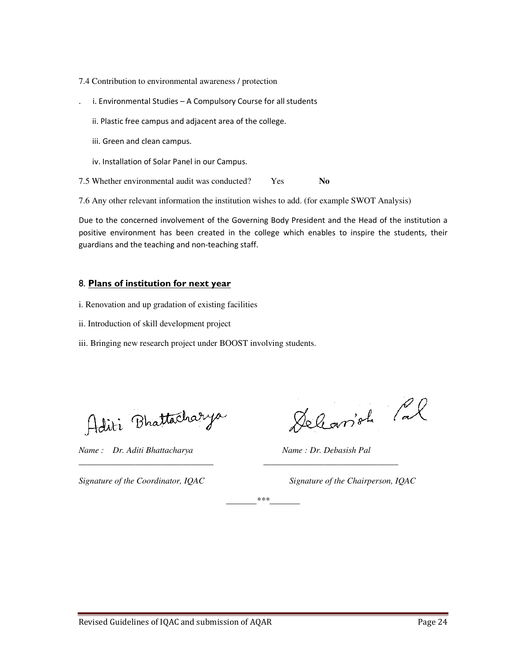- 7.4 Contribution to environmental awareness / protection
- . i. Environmental Studies A Compulsory Course for all students
	- ii. Plastic free campus and adjacent area of the college.
	- iii. Green and clean campus.
	- iv. Installation of Solar Panel in our Campus.

7.5 Whether environmental audit was conducted? Yes **No**

7.6 Any other relevant information the institution wishes to add. (for example SWOT Analysis)

Due to the concerned involvement of the Governing Body President and the Head of the institution a positive environment has been created in the college which enables to inspire the students, their guardians and the teaching and non-teaching staff.

#### 8. Plans of institution for next year

- i. Renovation and up gradation of existing facilities
- ii. Introduction of skill development project
- iii. Bringing new research project under BOOST involving students.

Aditi Bhattacharya

*Name : Dr. Aditi Bhattacharya Name : Dr. Debasish Pal* 

Deleavish Pal

*Signature of the Coordinator, IQAC Signature of the Chairperson, IQAC* 

*\_\_\_\_\_\_\_\*\*\*\_\_\_\_\_\_\_* 

*\_\_\_\_\_\_\_\_\_\_\_\_\_\_\_\_\_\_\_\_\_\_\_\_\_\_\_\_\_\_\_ \_\_\_\_\_\_\_\_\_\_\_\_\_\_\_\_\_\_\_\_\_\_\_\_\_\_\_\_\_\_\_*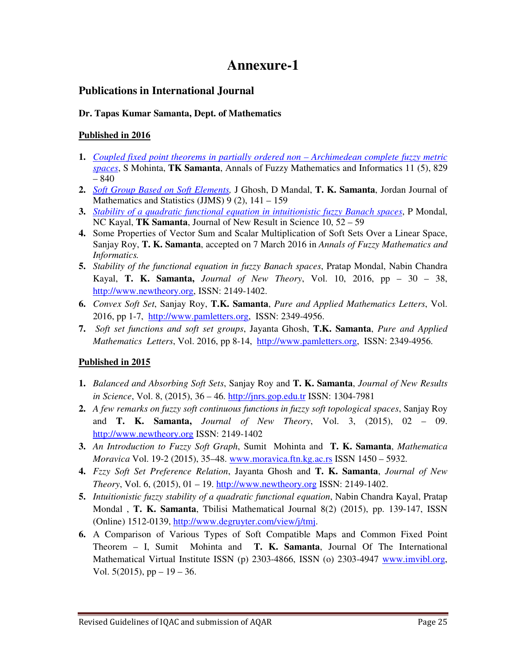# **Annexure-1**

# **Publications in International Journal**

### **Dr. Tapas Kumar Samanta, Dept. of Mathematics**

### **Published in 2016**

- **1.** *Coupled fixed point theorems in partially ordered non Archimedean complete fuzzy metric spaces*, S Mohinta, **TK Samanta**, Annals of Fuzzy Mathematics and Informatics 11 (5), 829 – 840
- **2.** *Soft Group Based on Soft Elements,* J Ghosh, D Mandal, **T. K. Samanta**, Jordan Journal of Mathematics and Statistics  $(JJMS)$  9 (2), 141 – 159
- **3.** *Stability of a quadratic functional equation in intuitionistic fuzzy Banach spaces*, P Mondal, NC Kayal, **TK Samanta**, Journal of New Result in Science 10, 52 – 59
- **4.** Some Properties of Vector Sum and Scalar Multiplication of Soft Sets Over a Linear Space, Sanjay Roy, **T. K. Samanta**, accepted on 7 March 2016 in *Annals of Fuzzy Mathematics and Informatics.*
- **5.** *Stability of the functional equation in fuzzy Banach spaces*, Pratap Mondal, Nabin Chandra Kayal, **T. K. Samanta,** *Journal of New Theory*, Vol. 10, 2016, pp – 30 – 38, http://www.newtheory.org, ISSN: 2149-1402.
- **6.** *Convex Soft Set*, Sanjay Roy, **T.K. Samanta**, *Pure and Applied Mathematics Letters*, Vol. 2016, pp 1-7, http://www.pamletters.org, ISSN: 2349-4956.
- **7.** *Soft set functions and soft set groups*, Jayanta Ghosh, **T.K. Samanta**, *Pure and Applied Mathematics Letters*, Vol. 2016, pp 8-14, http://www.pamletters.org, ISSN: 2349-4956.

# **Published in 2015**

- **1.** *Balanced and Absorbing Soft Sets*, Sanjay Roy and **T. K. Samanta**, *Journal of New Results in Science*, Vol. 8, (2015), 36 – 46. http://jnrs.gop.edu.tr ISSN: 1304-7981
- **2.** *A few remarks on fuzzy soft continuous functions in fuzzy soft topological spaces*, Sanjay Roy and **T. K. Samanta,** *Journal of New Theory*, Vol. 3, (2015), 02 – 09. http://www.newtheory.org ISSN: 2149-1402
- **3.** *An Introduction to Fuzzy Soft Graph*, Sumit Mohinta and **T. K. Samanta**, *Mathematica Moravica* Vol. 19-2 (2015), 35–48. www.moravica.ftn.kg.ac.rs ISSN 1450 – 5932.
- **4.** *Fzzy Soft Set Preference Relation*, Jayanta Ghosh and **T. K. Samanta**, *Journal of New Theory*, Vol. 6, (2015), 01 – 19. http://www.newtheory.org ISSN: 2149-1402.
- **5.** *Intuitionistic fuzzy stability of a quadratic functional equation*, Nabin Chandra Kayal, Pratap Mondal , **T. K. Samanta**, Tbilisi Mathematical Journal 8(2) (2015), pp. 139-147, ISSN (Online) 1512-0139, http://www.degruyter.com/view/j/tmj.
- **6.** A Comparison of Various Types of Soft Compatible Maps and Common Fixed Point Theorem – I, Sumit Mohinta and **T. K. Samanta**, Journal Of The International Mathematical Virtual Institute ISSN (p) 2303-4866, ISSN (o) 2303-4947 www.imvibl.org, Vol.  $5(2015)$ , pp  $-19-36$ .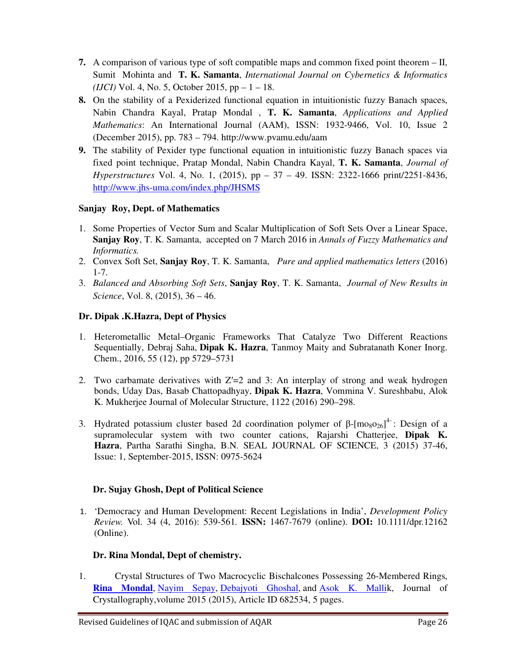- **7.** A comparison of various type of soft compatible maps and common fixed point theorem II, Sumit Mohinta and **T. K. Samanta**, *International Journal on Cybernetics & Informatics (IJCI)* Vol. 4, No. 5, October 2015, pp – 1 – 18.
- **8.** On the stability of a Pexiderized functional equation in intuitionistic fuzzy Banach spaces, Nabin Chandra Kayal, Pratap Mondal , **T. K. Samanta**, *Applications and Applied Mathematics*: An International Journal (AAM), ISSN: 1932-9466, Vol. 10, Issue 2 (December 2015), pp. 783 – 794. http://www.pvamu.edu/aam
- **9.** The stability of Pexider type functional equation in intuitionistic fuzzy Banach spaces via fixed point technique, Pratap Mondal, Nabin Chandra Kayal, **T. K. Samanta**, *Journal of Hyperstructures* Vol. 4, No. 1, (2015), pp – 37 – 49. ISSN: 2322-1666 print/2251-8436, http://www.jhs-uma.com/index.php/JHSMS

# **Sanjay Roy, Dept. of Mathematics**

- 1. Some Properties of Vector Sum and Scalar Multiplication of Soft Sets Over a Linear Space, **Sanjay Roy**, T. K. Samanta, accepted on 7 March 2016 in *Annals of Fuzzy Mathematics and Informatics.*
- 2. Convex Soft Set, **Sanjay Roy**, T. K. Samanta, *Pure and applied mathematics letters* (2016) 1-7.
- 3. *Balanced and Absorbing Soft Sets*, **Sanjay Roy**, T. K. Samanta, *Journal of New Results in Science*, Vol. 8, (2015), 36 – 46.

# **Dr. Dipak .K.Hazra, Dept of Physics**

- 1. Heterometallic Metal–Organic Frameworks That Catalyze Two Different Reactions Sequentially, Debraj Saha, **Dipak K. Hazra**, Tanmoy Maity and Subratanath Koner Inorg. Chem., 2016, 55 (12), pp 5729–5731
- 2. Two carbamate derivatives with  $Z'=2$  and 3: An interplay of strong and weak hydrogen bonds, Uday Das, Basab Chattopadhyay, **Dipak K. Hazra**, Vommina V. Sureshbabu, Alok K. Mukherjee Journal of Molecular Structure, 1122 (2016) 290–298.
- 3. Hydrated potassium cluster based 2d coordination polymer of  $\beta$ -[mo<sub>8</sub>o<sub>26</sub>]<sup>4</sup>: Design of a supramolecular system with two counter cations, Rajarshi Chatterjee, **Dipak K. Hazra**, Partha Sarathi Singha, B.N. SEAL JOURNAL OF SCIENCE, 3 (2015) 37-46, Issue: 1, September-2015, ISSN: 0975-5624

### **Dr. Sujay Ghosh, Dept of Political Science**

1. 'Democracy and Human Development: Recent Legislations in India', *Development Policy Review.* Vol. 34 (4, 2016): 539-561*.* **ISSN:** 1467-7679 (online). **DOI:** 10.1111/dpr.12162 (Online).

# **Dr. Rina Mondal, Dept of chemistry.**

1. Crystal Structures of Two Macrocyclic Bischalcones Possessing 26-Membered Rings, **Rina Mondal**, Nayim Sepay, Debajyoti Ghoshal, and Asok K. Mallik, Journal of Crystallography,volume 2015 (2015), Article ID 682534, 5 pages.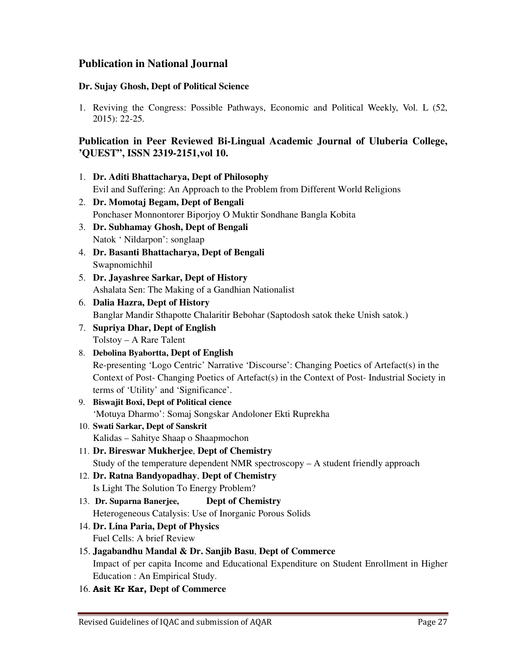# **Publication in National Journal**

#### **Dr. Sujay Ghosh, Dept of Political Science**

1. Reviving the Congress: Possible Pathways, Economic and Political Weekly, Vol. L (52, 2015): 22-25.

# **Publication in Peer Reviewed Bi-Lingual Academic Journal of Uluberia College, 'QUEST", ISSN 2319-2151,vol 10.**

- 1. **Dr. Aditi Bhattacharya, Dept of Philosophy**  Evil and Suffering: An Approach to the Problem from Different World Religions
- 2. **Dr. Momotaj Begam, Dept of Bengali**  Ponchaser Monnontorer Biporjoy O Muktir Sondhane Bangla Kobita
- 3. **Dr. Subhamay Ghosh, Dept of Bengali** Natok ' Nildarpon': songlaap
- 4. **Dr. Basanti Bhattacharya, Dept of Bengali**  Swapnomichhil
- 5. **Dr. Jayashree Sarkar, Dept of History** Ashalata Sen: The Making of a Gandhian Nationalist
- 6. **Dalia Hazra, Dept of History**  Banglar Mandir Sthapotte Chalaritir Bebohar (Saptodosh satok theke Unish satok.)
- 7. **Supriya Dhar, Dept of English** Tolstoy – A Rare Talent
- 8. **Debolina Byabortta, Dept of English**  Re-presenting 'Logo Centric' Narrative 'Discourse': Changing Poetics of Artefact(s) in the Context of Post- Changing Poetics of Artefact(s) in the Context of Post- Industrial Society in terms of 'Utility' and 'Significance'.
- 9. **Biswajit Boxi, Dept of Political cience** 'Motuya Dharmo': Somaj Songskar Andoloner Ekti Ruprekha
- 10. **Swati Sarkar, Dept of Sanskrit** Kalidas – Sahitye Shaap o Shaapmochon
- 11. **Dr. Bireswar Mukherjee**, **Dept of Chemistry** Study of the temperature dependent NMR spectroscopy  $-A$  student friendly approach
- 12. **Dr. Ratna Bandyopadhay**, **Dept of Chemistry** Is Light The Solution To Energy Problem?
- 13. **Dr. Suparna Banerjee, Dept of Chemistry** Heterogeneous Catalysis: Use of Inorganic Porous Solids
- 14. **Dr. Lina Paria, Dept of Physics**  Fuel Cells: A brief Review
- 15. **Jagabandhu Mandal & Dr. Sanjib Basu**, **Dept of Commerce** Impact of per capita Income and Educational Expenditure on Student Enrollment in Higher Education : An Empirical Study.
- 16. Asit Kr Kar, **Dept of Commerce**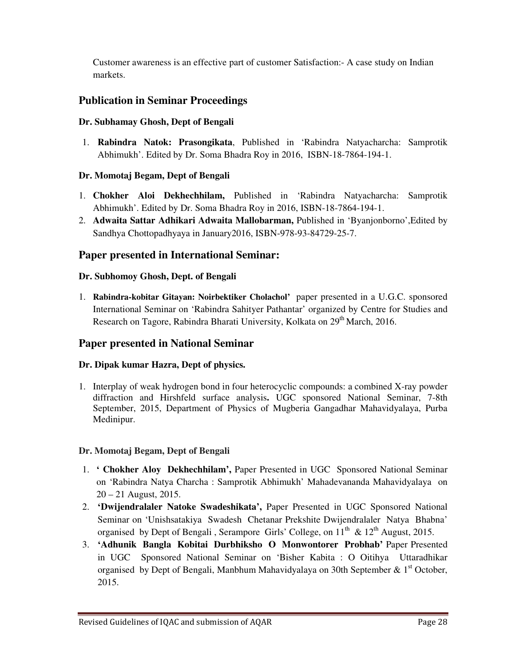Customer awareness is an effective part of customer Satisfaction:- A case study on Indian markets.

# **Publication in Seminar Proceedings**

## **Dr. Subhamay Ghosh, Dept of Bengali**

1. **Rabindra Natok: Prasongikata**, Published in 'Rabindra Natyacharcha: Samprotik Abhimukh'. Edited by Dr. Soma Bhadra Roy in 2016, ISBN-18-7864-194-1.

# **Dr. Momotaj Begam, Dept of Bengali**

- 1. **Chokher Aloi Dekhechhilam,** Published in 'Rabindra Natyacharcha: Samprotik Abhimukh'. Edited by Dr. Soma Bhadra Roy in 2016, ISBN-18-7864-194-1.
- 2. **Adwaita Sattar Adhikari Adwaita Mallobarman,** Published in 'Byanjonborno',Edited by Sandhya Chottopadhyaya in January2016, ISBN-978-93-84729-25-7.

# **Paper presented in International Seminar:**

### **Dr. Subhomoy Ghosh, Dept. of Bengali**

1. **Rabindra-kobitar Gitayan: Noirbektiker Cholachol'** paper presented in a U.G.C. sponsored International Seminar on 'Rabindra Sahityer Pathantar' organized by Centre for Studies and Research on Tagore, Rabindra Bharati University, Kolkata on 29<sup>th</sup> March, 2016.

# **Paper presented in National Seminar**

# **Dr. Dipak kumar Hazra, Dept of physics.**

1. Interplay of weak hydrogen bond in four heterocyclic compounds: a combined X-ray powder diffraction and Hirshfeld surface analysis**.** UGC sponsored National Seminar, 7-8th September, 2015, Department of Physics of Mugberia Gangadhar Mahavidyalaya, Purba Medinipur.

### **Dr. Momotaj Begam, Dept of Bengali**

- 1. **' Chokher Aloy Dekhechhilam',** Paper Presented in UGC Sponsored National Seminar on 'Rabindra Natya Charcha : Samprotik Abhimukh' Mahadevananda Mahavidyalaya on 20 – 21 August, 2015.
- 2. **'Dwijendralaler Natoke Swadeshikata',** Paper Presented in UGC Sponsored National Seminar on 'Unishsatakiya Swadesh Chetanar Prekshite Dwijendralaler Natya Bhabna' organised by Dept of Bengali, Serampore Girls' College, on  $11<sup>th</sup>$  &  $12<sup>th</sup>$  August, 2015.
- 3. **'Adhunik Bangla Kobitai Durbhiksho O Monwontorer Probhab'** Paper Presented in UGC Sponsored National Seminar on 'Bisher Kabita : O Oitihya Uttaradhikar organised by Dept of Bengali, Manbhum Mahavidyalaya on 30th September  $\& 1<sup>st</sup>$  October, 2015.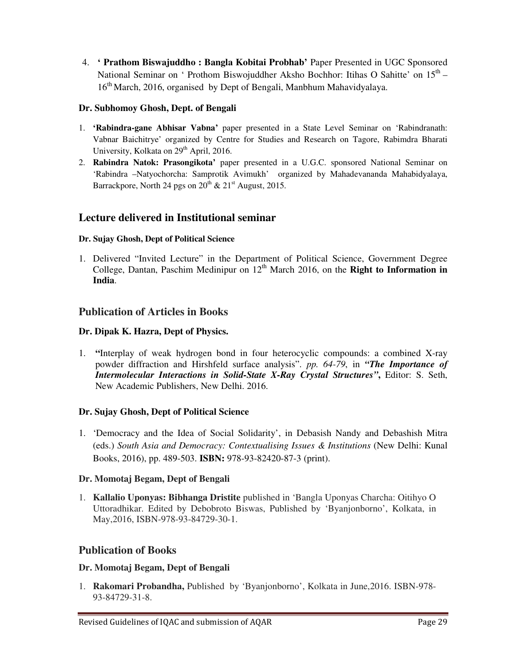4. **' Prathom Biswajuddho : Bangla Kobitai Probhab'** Paper Presented in UGC Sponsored National Seminar on ' Prothom Biswojuddher Aksho Bochhor: Itihas O Sahitte' on  $15^{th}$  – 16<sup>th</sup> March, 2016, organised by Dept of Bengali, Manbhum Mahavidyalaya.

### **Dr. Subhomoy Ghosh, Dept. of Bengali**

- 1. **'Rabindra-gane Abhisar Vabna'** paper presented in a State Level Seminar on 'Rabindranath: Vabnar Baichitrye' organized by Centre for Studies and Research on Tagore, Rabimdra Bharati University, Kolkata on 29<sup>th</sup> April, 2016.
- 2. **Rabindra Natok: Prasongikota'** paper presented in a U.G.C. sponsored National Seminar on 'Rabindra –Natyochorcha: Samprotik Avimukh' organized by Mahadevananda Mahabidyalaya, Barrackpore, North 24 pgs on  $20^{th}$  &  $21^{st}$  August, 2015.

# **Lecture delivered in Institutional seminar**

### **Dr. Sujay Ghosh, Dept of Political Science**

1. Delivered "Invited Lecture" in the Department of Political Science, Government Degree College, Dantan, Paschim Medinipur on  $12<sup>th</sup>$  March 2016, on the **Right to Information in India**.

# **Publication of Articles in Books**

### **Dr. Dipak K. Hazra, Dept of Physics.**

1. **"**Interplay of weak hydrogen bond in four heterocyclic compounds: a combined X-ray powder diffraction and Hirshfeld surface analysis". *pp. 64-79*, in *"The Importance of Intermolecular Interactions in Solid-State X-Ray Crystal Structures"***,** Editor: S. Seth, New Academic Publishers, New Delhi. 2016.

### **Dr. Sujay Ghosh, Dept of Political Science**

1. 'Democracy and the Idea of Social Solidarity', in Debasish Nandy and Debashish Mitra (eds.) *South Asia and Democracy: Contextualising Issues & Institutions* (New Delhi: Kunal Books, 2016), pp. 489-503. **ISBN:** 978-93-82420-87-3 (print).

### **Dr. Momotaj Begam, Dept of Bengali**

1. **Kallalio Uponyas: Bibhanga Dristite** published in 'Bangla Uponyas Charcha: Oitihyo O Uttoradhikar. Edited by Debobroto Biswas, Published by 'Byanjonborno', Kolkata, in May,2016, ISBN-978-93-84729-30-1.

# **Publication of Books**

### **Dr. Momotaj Begam, Dept of Bengali**

1. **Rakomari Probandha,** Published by 'Byanjonborno', Kolkata in June,2016. ISBN-978- 93-84729-31-8.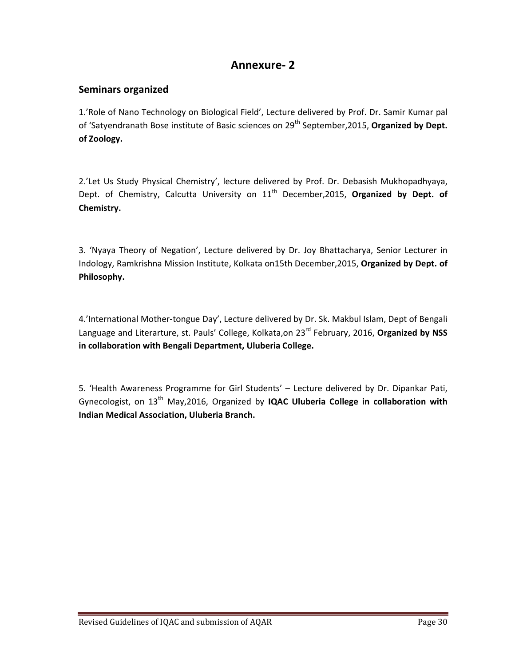# Annexure- 2

# Seminars organized

1.'Role of Nano Technology on Biological Field', Lecture delivered by Prof. Dr. Samir Kumar pal of 'Satyendranath Bose institute of Basic sciences on 29<sup>th</sup> September, 2015, Organized by Dept. of Zoology.

2.'Let Us Study Physical Chemistry', lecture delivered by Prof. Dr. Debasish Mukhopadhyaya, Dept. of Chemistry, Calcutta University on 11<sup>th</sup> December, 2015, Organized by Dept. of Chemistry.

3. 'Nyaya Theory of Negation', Lecture delivered by Dr. Joy Bhattacharya, Senior Lecturer in Indology, Ramkrishna Mission Institute, Kolkata on15th December, 2015, Organized by Dept. of Philosophy.

4.'International Mother-tongue Day', Lecture delivered by Dr. Sk. Makbul Islam, Dept of Bengali Language and Literarture, st. Pauls' College, Kolkata,on 23<sup>rd</sup> February, 2016, Organized by NSS in collaboration with Bengali Department, Uluberia College.

5. 'Health Awareness Programme for Girl Students' – Lecture delivered by Dr. Dipankar Pati, Gynecologist, on  $13<sup>th</sup>$  May, 2016, Organized by **IQAC Uluberia College in collaboration with** Indian Medical Association, Uluberia Branch.